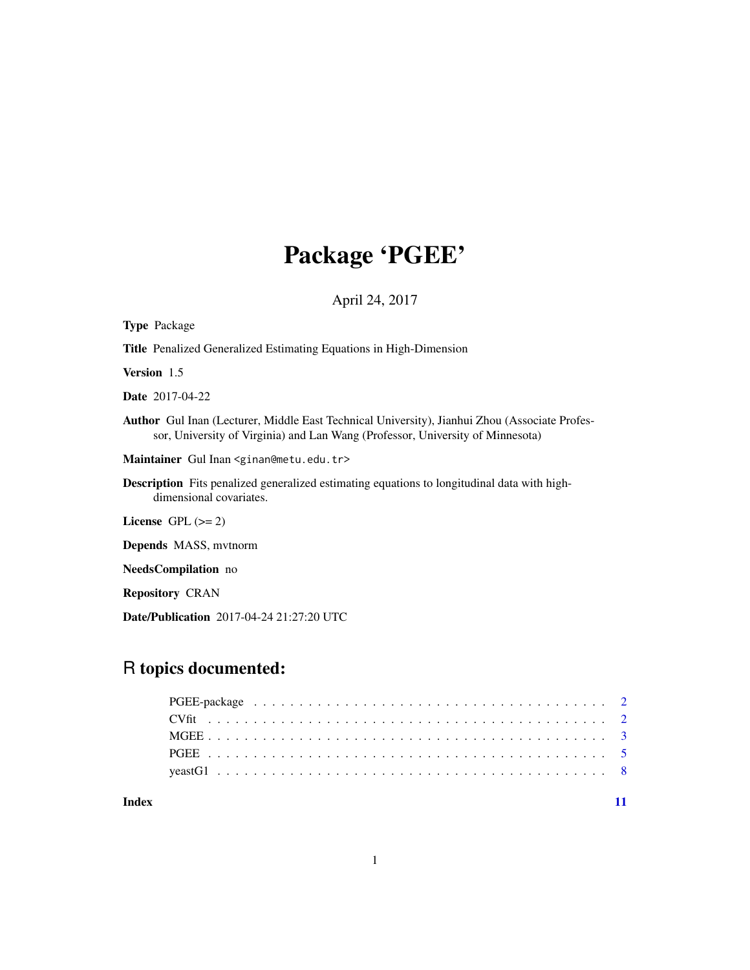# Package 'PGEE'

April 24, 2017

| <b>Type Package</b>                                                                                                                                                                    |
|----------------------------------------------------------------------------------------------------------------------------------------------------------------------------------------|
| <b>Title</b> Penalized Generalized Estimating Equations in High-Dimension                                                                                                              |
| <b>Version</b> 1.5                                                                                                                                                                     |
| <b>Date</b> 2017-04-22                                                                                                                                                                 |
| <b>Author</b> Gul Inan (Lecturer, Middle East Technical University), Jianhui Zhou (Associate Profes-<br>sor, University of Virginia) and Lan Wang (Professor, University of Minnesota) |
| Maintainer Gul Inan <ginan@metu.edu.tr></ginan@metu.edu.tr>                                                                                                                            |
| <b>Description</b> Fits penalized generalized estimating equations to longitudinal data with high-<br>dimensional covariates.                                                          |
| License $GPL (= 2)$                                                                                                                                                                    |
| <b>Depends</b> MASS, mythorm                                                                                                                                                           |
| <b>NeedsCompilation</b> no                                                                                                                                                             |
| <b>Repository CRAN</b>                                                                                                                                                                 |
| Date/Publication 2017-04-24 21:27:20 UTC                                                                                                                                               |

# R topics documented:

**Index** [11](#page-10-0)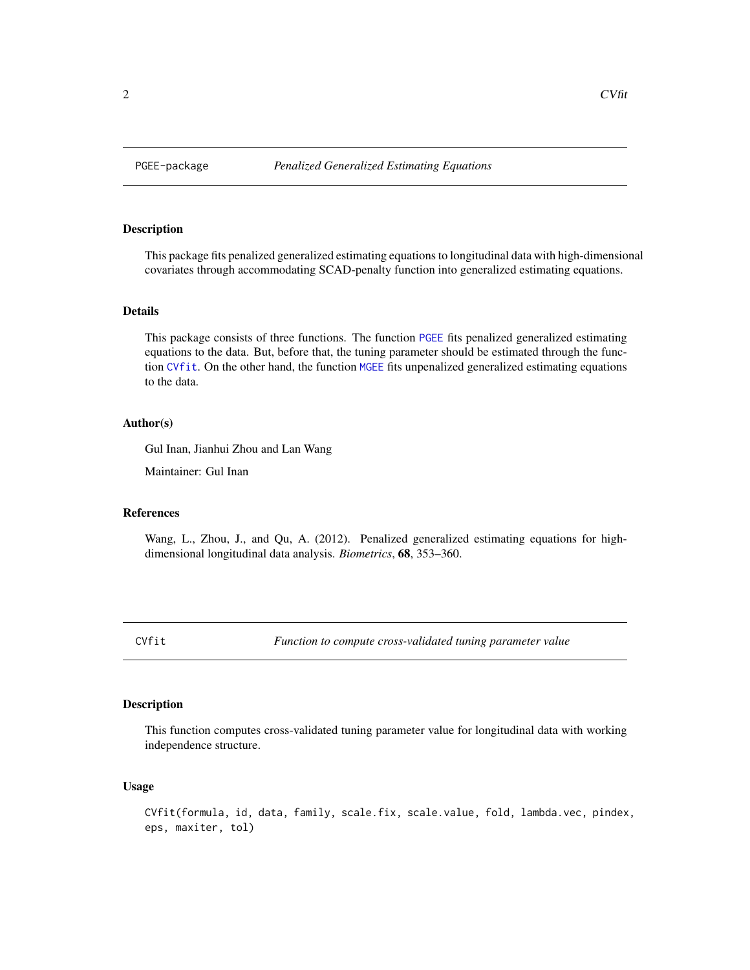#### <span id="page-1-0"></span>Description

This package fits penalized generalized estimating equations to longitudinal data with high-dimensional covariates through accommodating SCAD-penalty function into generalized estimating equations.

# Details

This package consists of three functions. The function [PGEE](#page-4-1) fits penalized generalized estimating equations to the data. But, before that, the tuning parameter should be estimated through the function [CVfit](#page-1-1). On the other hand, the function [MGEE](#page-2-1) fits unpenalized generalized estimating equations to the data.

#### Author(s)

Gul Inan, Jianhui Zhou and Lan Wang

Maintainer: Gul Inan

#### References

Wang, L., Zhou, J., and Qu, A. (2012). Penalized generalized estimating equations for highdimensional longitudinal data analysis. *Biometrics*, 68, 353–360.

<span id="page-1-1"></span>CVfit *Function to compute cross-validated tuning parameter value*

#### Description

This function computes cross-validated tuning parameter value for longitudinal data with working independence structure.

### Usage

```
CVfit(formula, id, data, family, scale.fix, scale.value, fold, lambda.vec, pindex,
eps, maxiter, tol)
```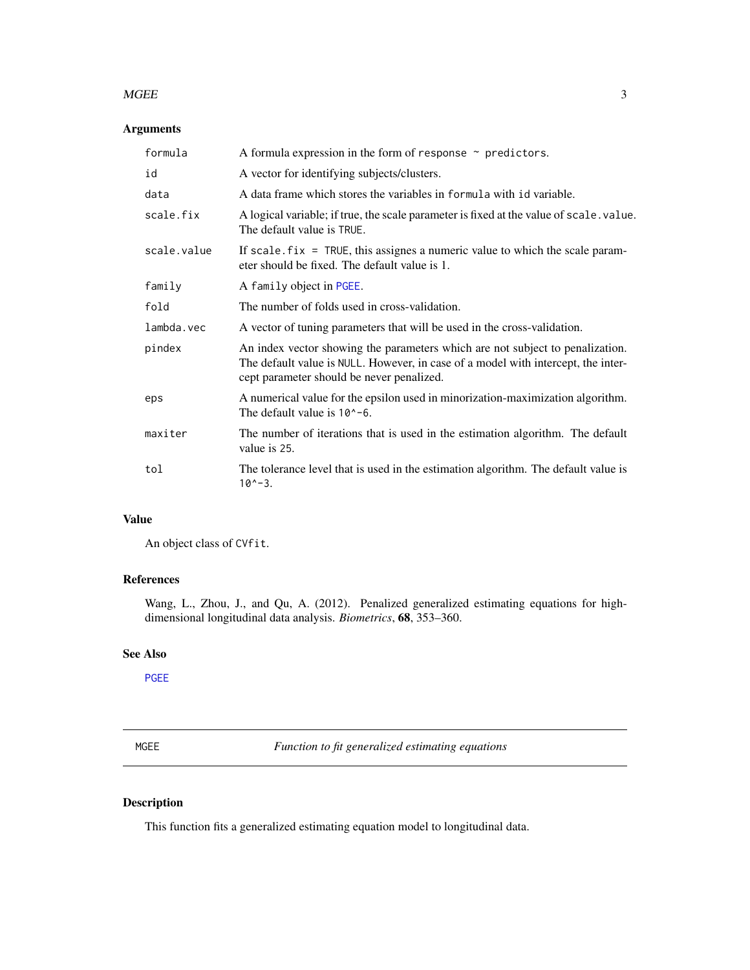#### <span id="page-2-0"></span> $MGE$  3

# Arguments

| formula     | A formula expression in the form of response $\sim$ predictors.                                                                                                                                                 |
|-------------|-----------------------------------------------------------------------------------------------------------------------------------------------------------------------------------------------------------------|
| id          | A vector for identifying subjects/clusters.                                                                                                                                                                     |
| data        | A data frame which stores the variables in formula with id variable.                                                                                                                                            |
| scale.fix   | A logical variable; if true, the scale parameter is fixed at the value of scale value.<br>The default value is TRUE.                                                                                            |
| scale.value | If scale. $fix = TRUE$ , this assignes a numeric value to which the scale param-<br>eter should be fixed. The default value is 1.                                                                               |
| family      | A family object in PGEE.                                                                                                                                                                                        |
| fold        | The number of folds used in cross-validation.                                                                                                                                                                   |
| lambda.vec  | A vector of tuning parameters that will be used in the cross-validation.                                                                                                                                        |
| pindex      | An index vector showing the parameters which are not subject to penalization.<br>The default value is NULL. However, in case of a model with intercept, the inter-<br>cept parameter should be never penalized. |
| eps         | A numerical value for the epsilon used in minorization-maximization algorithm.<br>The default value is $10^{\circ}$ -6.                                                                                         |
| maxiter     | The number of iterations that is used in the estimation algorithm. The default<br>value is 25.                                                                                                                  |
| tol         | The tolerance level that is used in the estimation algorithm. The default value is<br>$10^{\circ} - 3$ .                                                                                                        |

# Value

An object class of CVfit.

# References

Wang, L., Zhou, J., and Qu, A. (2012). Penalized generalized estimating equations for highdimensional longitudinal data analysis. *Biometrics*, 68, 353–360.

# See Also

[PGEE](#page-4-1)

<span id="page-2-1"></span>MGEE *Function to fit generalized estimating equations*

# Description

This function fits a generalized estimating equation model to longitudinal data.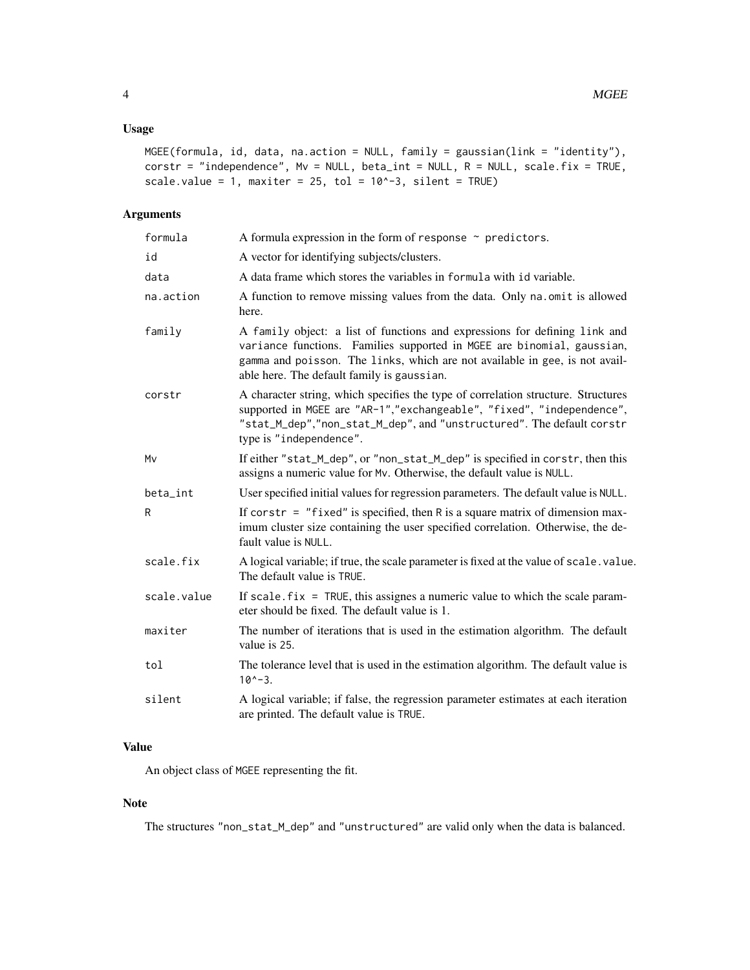# Usage

```
MGEE(formula, id, data, na.action = NULL, family = gaussian(link = "identity"),
\text{corr} = \text{"independence", MV = NULL, beta\_int = NULL, R = NULL, scale.fix = TRUE,}scale.value = 1, maxiter = 25, tol = 10^{\circ}-3, silent = TRUE)
```
# Arguments

| formula     | A formula expression in the form of response $\sim$ predictors.                                                                                                                                                                                                                   |
|-------------|-----------------------------------------------------------------------------------------------------------------------------------------------------------------------------------------------------------------------------------------------------------------------------------|
| id          | A vector for identifying subjects/clusters.                                                                                                                                                                                                                                       |
| data        | A data frame which stores the variables in formula with id variable.                                                                                                                                                                                                              |
| na.action   | A function to remove missing values from the data. Only na.omit is allowed<br>here.                                                                                                                                                                                               |
| family      | A family object: a list of functions and expressions for defining link and<br>variance functions. Families supported in MGEE are binomial, gaussian,<br>gamma and poisson. The links, which are not available in gee, is not avail-<br>able here. The default family is gaussian. |
| corstr      | A character string, which specifies the type of correlation structure. Structures<br>supported in MGEE are "AR-1","exchangeable", "fixed", "independence",<br>"stat_M_dep","non_stat_M_dep", and "unstructured". The default corstr<br>type is "independence".                    |
| Mv          | If either "stat_M_dep", or "non_stat_M_dep" is specified in corstr, then this<br>assigns a numeric value for Mv. Otherwise, the default value is NULL.                                                                                                                            |
| beta_int    | User specified initial values for regression parameters. The default value is NULL.                                                                                                                                                                                               |
| R           | If corstr = $"fixed"$ is specified, then R is a square matrix of dimension max-<br>imum cluster size containing the user specified correlation. Otherwise, the de-<br>fault value is NULL.                                                                                        |
| scale.fix   | A logical variable; if true, the scale parameter is fixed at the value of scale. value.<br>The default value is TRUE.                                                                                                                                                             |
| scale.value | If scale. $fix = TRUE$ , this assignes a numeric value to which the scale param-<br>eter should be fixed. The default value is 1.                                                                                                                                                 |
| maxiter     | The number of iterations that is used in the estimation algorithm. The default<br>value is 25.                                                                                                                                                                                    |
| tol         | The tolerance level that is used in the estimation algorithm. The default value is<br>$10^x - 3$ .                                                                                                                                                                                |
| silent      | A logical variable; if false, the regression parameter estimates at each iteration<br>are printed. The default value is TRUE.                                                                                                                                                     |

# Value

An object class of MGEE representing the fit.

# Note

The structures "non\_stat\_M\_dep" and "unstructured" are valid only when the data is balanced.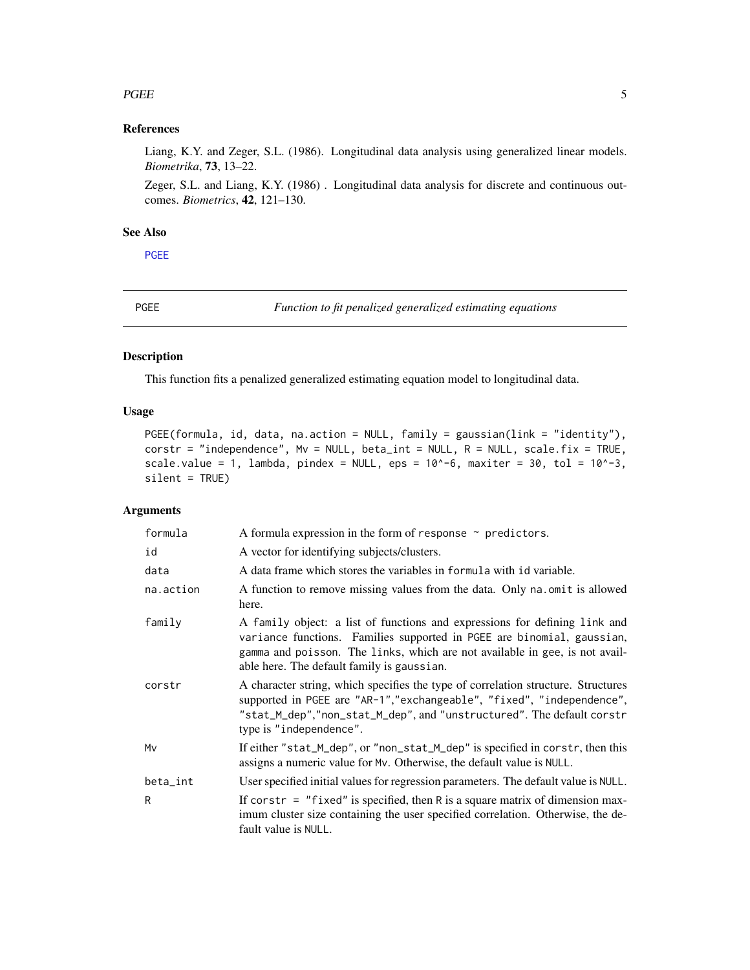#### <span id="page-4-0"></span>PGEE 5

# References

Liang, K.Y. and Zeger, S.L. (1986). Longitudinal data analysis using generalized linear models. *Biometrika*, 73, 13–22.

Zeger, S.L. and Liang, K.Y. (1986) . Longitudinal data analysis for discrete and continuous outcomes. *Biometrics*, 42, 121–130.

# See Also

[PGEE](#page-4-1)

<span id="page-4-1"></span>PGEE *Function to fit penalized generalized estimating equations*

# Description

This function fits a penalized generalized estimating equation model to longitudinal data.

# Usage

```
PGEE(formula, id, data, na.action = NULL, family = gaussian(link = "identity"),
corstr = "independence", Mv = NULL, beta_int = NULL, R = NULL, scale.fix = TRUE,
scale.value = 1, lambda, pindex = NULL, eps = 10^{\circ}-6, maxiter = 30, tol = 10^{\circ}-3,
silent = TRUE)
```
# Arguments

| formula   | A formula expression in the form of response $\sim$ predictors.                                                                                                                                                                                                                   |
|-----------|-----------------------------------------------------------------------------------------------------------------------------------------------------------------------------------------------------------------------------------------------------------------------------------|
| id        | A vector for identifying subjects/clusters.                                                                                                                                                                                                                                       |
| data      | A data frame which stores the variables in formula with id variable.                                                                                                                                                                                                              |
| na.action | A function to remove missing values from the data. Only na. omit is allowed<br>here.                                                                                                                                                                                              |
| family    | A family object: a list of functions and expressions for defining link and<br>variance functions. Families supported in PGEE are binomial, gaussian,<br>gamma and poisson. The links, which are not available in gee, is not avail-<br>able here. The default family is gaussian. |
| corstr    | A character string, which specifies the type of correlation structure. Structures<br>supported in PGEE are "AR-1","exchangeable", "fixed", "independence",<br>"stat_M_dep","non_stat_M_dep", and "unstructured". The default corstr<br>type is "independence".                    |
| Mv        | If either "stat_M_dep", or "non_stat_M_dep" is specified in corstr, then this<br>assigns a numeric value for Mv. Otherwise, the default value is NULL.                                                                                                                            |
| beta_int  | User specified initial values for regression parameters. The default value is NULL.                                                                                                                                                                                               |
| R         | If constr = $"fixed"$ is specified, then R is a square matrix of dimension max-<br>imum cluster size containing the user specified correlation. Otherwise, the de-<br>fault value is NULL.                                                                                        |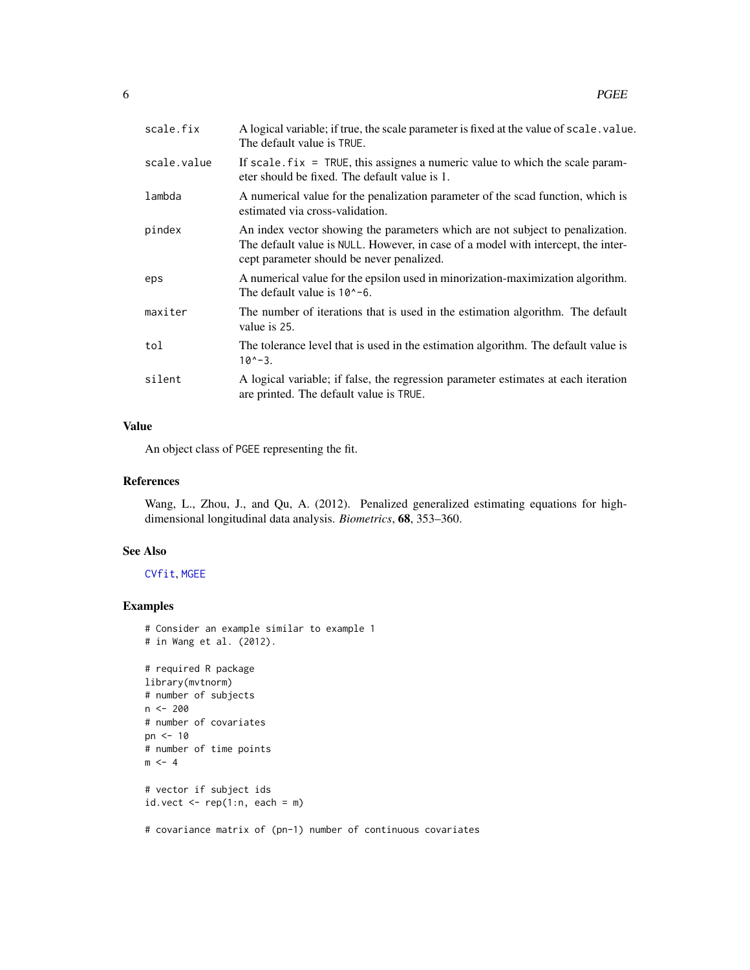<span id="page-5-0"></span>

| scale.fix   | A logical variable; if true, the scale parameter is fixed at the value of scale value.<br>The default value is TRUE.                                                                                            |
|-------------|-----------------------------------------------------------------------------------------------------------------------------------------------------------------------------------------------------------------|
| scale.value | If scale $fix = TRUE$ , this assignes a numeric value to which the scale param-<br>eter should be fixed. The default value is 1.                                                                                |
| lambda      | A numerical value for the penalization parameter of the scad function, which is<br>estimated via cross-validation.                                                                                              |
| pindex      | An index vector showing the parameters which are not subject to penalization.<br>The default value is NULL. However, in case of a model with intercept, the inter-<br>cept parameter should be never penalized. |
| eps         | A numerical value for the epsilon used in minorization-maximization algorithm.<br>The default value is $10^{\circ}$ -6.                                                                                         |
| maxiter     | The number of iterations that is used in the estimation algorithm. The default<br>value is 25.                                                                                                                  |
| tol         | The tolerance level that is used in the estimation algorithm. The default value is<br>$10^{\circ} - 3$ .                                                                                                        |
| silent      | A logical variable; if false, the regression parameter estimates at each iteration<br>are printed. The default value is TRUE.                                                                                   |

# Value

An object class of PGEE representing the fit.

#### References

Wang, L., Zhou, J., and Qu, A. (2012). Penalized generalized estimating equations for highdimensional longitudinal data analysis. *Biometrics*, 68, 353–360.

# See Also

[CVfit](#page-1-1), [MGEE](#page-2-1)

# Examples

```
# Consider an example similar to example 1
# in Wang et al. (2012).
# required R package
library(mvtnorm)
# number of subjects
n < - 200# number of covariates
pn <- 10
# number of time points
m <- 4
# vector if subject ids
id.vect \leftarrow rep(1:n, each = m)# covariance matrix of (pn-1) number of continuous covariates
```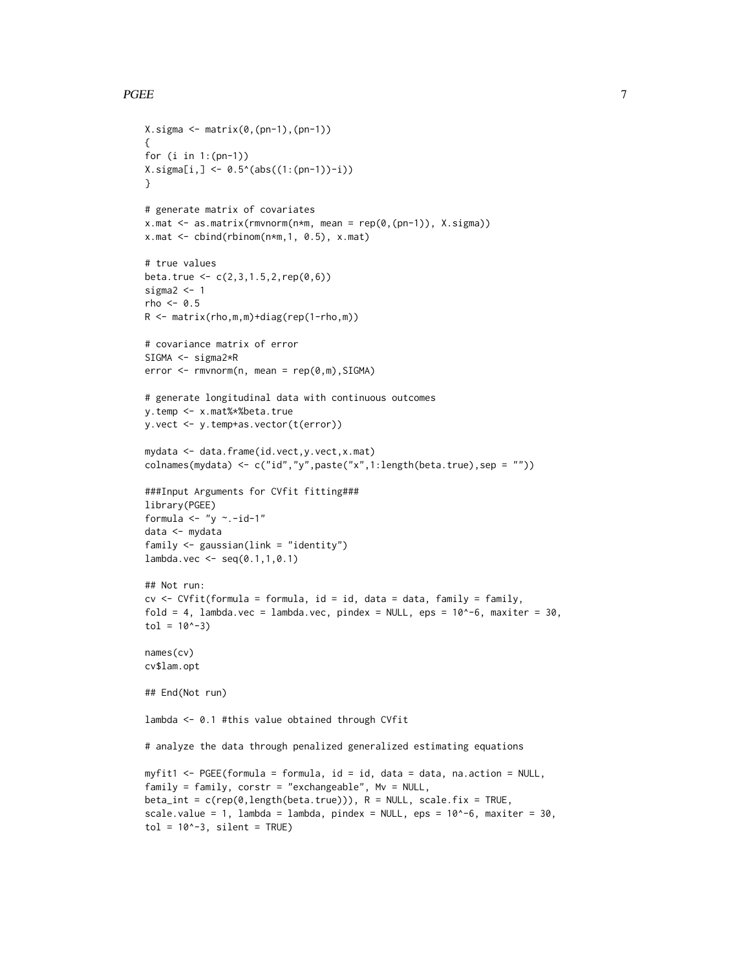#### PGEE 7

```
X.\sigmaigma \leftarrow matrix(0,(pn-1),(pn-1)){
for (i in 1:(pn-1))
X.\sigma{igma[i, ] \leq -0.5^(abs((1:(pn-1))-i))}}
# generate matrix of covariates
x.mac < - as_matrix(rmvnorm(n*m, mean = rep(0, (pn-1)), X.sigma))x.math < - \text{cbind}(\text{rbinom}(n*m, 1, 0.5), x.math)# true values
beta.true <- c(2,3,1.5,2,rep(0,6))
sigma2 < -1rho <-0.5R <- matrix(rho,m,m)+diag(rep(1-rho,m))
# covariance matrix of error
SIGMA <- sigma2*R
error < -rmvnorm(n, mean = rep(0, m), SIGMA)# generate longitudinal data with continuous outcomes
y.temp <- x.mat%*%beta.true
y.vect <- y.temp+as.vector(t(error))
mydata <- data.frame(id.vect,y.vect,x.mat)
colnames(mydata) <- c("id","y",paste("x",1:length(beta.true),sep = ""))
###Input Arguments for CVfit fitting###
library(PGEE)
formula \leftarrow "y \sim.-id-1"
data <- mydata
family <- gaussian(link = "identity")
lambda.vec < - seq(0.1, 1, 0.1)## Not run:
cv \leq CVfit(formula = formula, id = id, data = data, family = family,
fold = 4, lambda.vec = lambda.vec, pindex = NULL, eps = 10^{\circ}-6, maxiter = 30,
tol = 10^{\wedge}-3)names(cv)
cv$lam.opt
## End(Not run)
lambda <- 0.1 #this value obtained through CVfit
# analyze the data through penalized generalized estimating equations
myfit1 <- PGEE(formula = formula, id = id, data = data, na.action = NULL,
family = family, corstr = "exchangeable", Mv = NULL,
beta_int = c(rep(0,length(beta.true))), R = NULL, scale.fix = TRUE,
scale.value = 1, lambda = lambda, pindex = NULL, eps = 10^{\circ}-6, maxiter = 30,
tol = 10^{\circ}-3, silent = TRUE)
```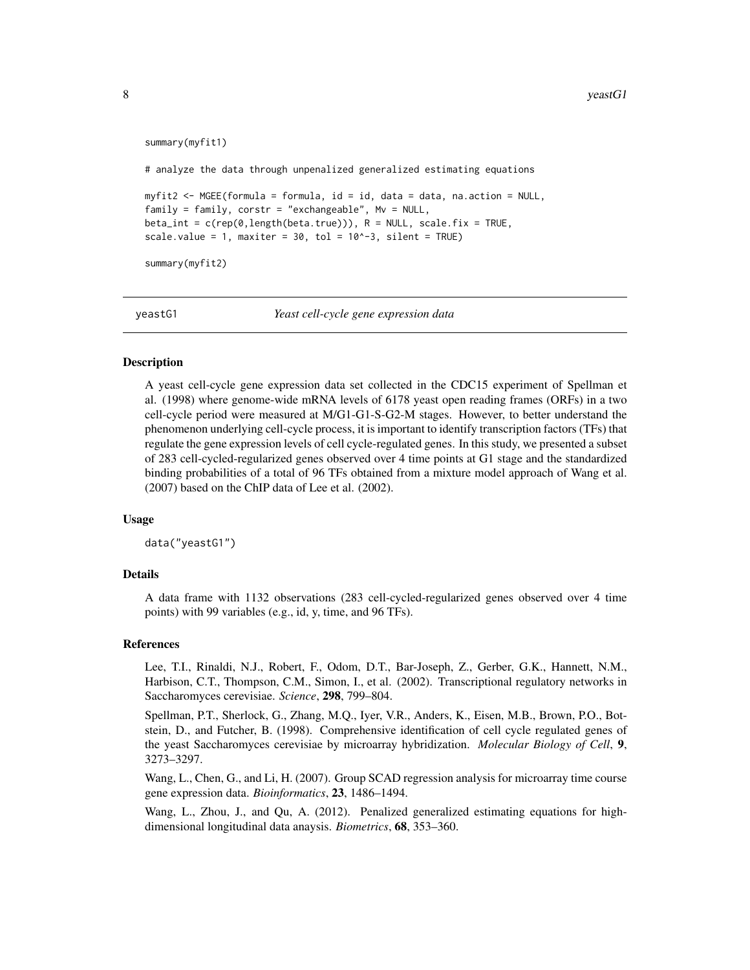```
summary(myfit1)
# analyze the data through unpenalized generalized estimating equations
myfit2 <- MGEE(formula = formula, id = id, data = data, na.action = NULL,
family = family, corstr = "exchangeable", My = NULL,beta_int = c(rep(\theta, length(beta,true))), R = NULL, scale.fix = TRUE,
scale.value = 1, maxiter = 30, tol = 10^{\circ}-3, silent = TRUE)
summary(myfit2)
```
yeastG1 *Yeast cell-cycle gene expression data*

#### Description

A yeast cell-cycle gene expression data set collected in the CDC15 experiment of Spellman et al. (1998) where genome-wide mRNA levels of 6178 yeast open reading frames (ORFs) in a two cell-cycle period were measured at M/G1-G1-S-G2-M stages. However, to better understand the phenomenon underlying cell-cycle process, it is important to identify transcription factors (TFs) that regulate the gene expression levels of cell cycle-regulated genes. In this study, we presented a subset of 283 cell-cycled-regularized genes observed over 4 time points at G1 stage and the standardized binding probabilities of a total of 96 TFs obtained from a mixture model approach of Wang et al. (2007) based on the ChIP data of Lee et al. (2002).

#### Usage

data("yeastG1")

#### Details

A data frame with 1132 observations (283 cell-cycled-regularized genes observed over 4 time points) with 99 variables (e.g., id, y, time, and 96 TFs).

#### References

Lee, T.I., Rinaldi, N.J., Robert, F., Odom, D.T., Bar-Joseph, Z., Gerber, G.K., Hannett, N.M., Harbison, C.T., Thompson, C.M., Simon, I., et al. (2002). Transcriptional regulatory networks in Saccharomyces cerevisiae. *Science*, 298, 799–804.

Spellman, P.T., Sherlock, G., Zhang, M.Q., Iyer, V.R., Anders, K., Eisen, M.B., Brown, P.O., Botstein, D., and Futcher, B. (1998). Comprehensive identification of cell cycle regulated genes of the yeast Saccharomyces cerevisiae by microarray hybridization. *Molecular Biology of Cell*, 9, 3273–3297.

Wang, L., Chen, G., and Li, H. (2007). Group SCAD regression analysis for microarray time course gene expression data. *Bioinformatics*, 23, 1486–1494.

Wang, L., Zhou, J., and Qu, A. (2012). Penalized generalized estimating equations for highdimensional longitudinal data anaysis. *Biometrics*, 68, 353–360.

<span id="page-7-0"></span>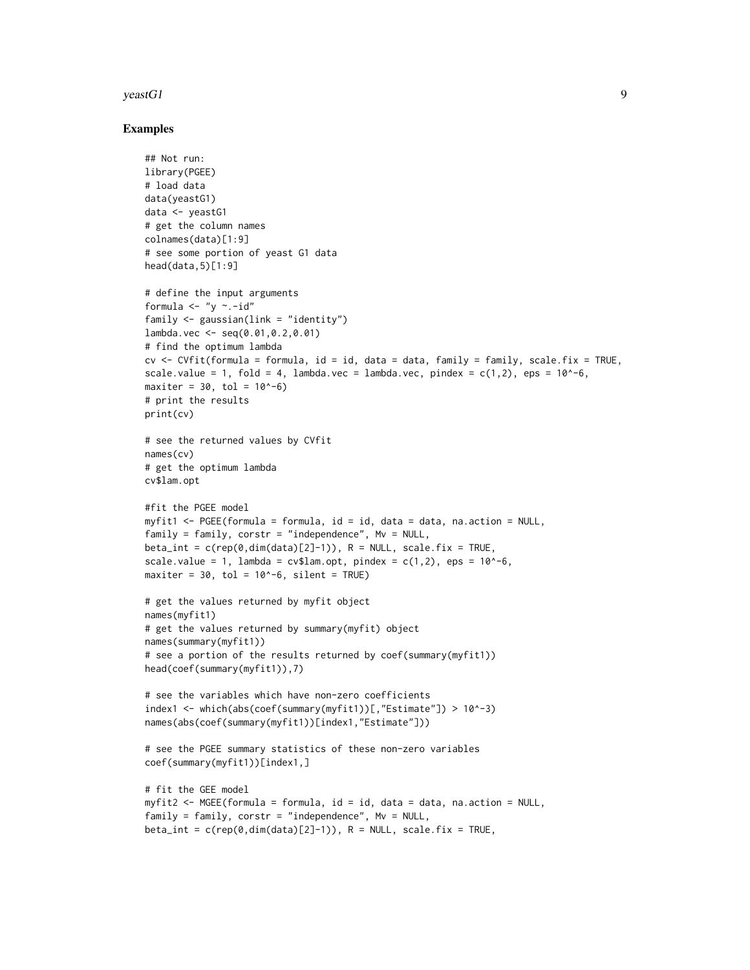#### $y$ eastG1 9

#### Examples

```
## Not run:
library(PGEE)
# load data
data(yeastG1)
data <- yeastG1
# get the column names
colnames(data)[1:9]
# see some portion of yeast G1 data
head(data,5)[1:9]
# define the input arguments
formula \lt- "y \sim.-id"
family \leq gaussian(link = "identity")
lambda.vec <- seq(0.01,0.2,0.01)
# find the optimum lambda
cv <- CVfit(formula = formula, id = id, data = data, family = family, scale.fix = TRUE,
scale.value = 1, fold = 4, lambda.vec = lambda.vec, pindex = c(1,2), eps = 10^{\circ}-6,
maxiter = 30, tol = 10^{\circ}-6)
# print the results
print(cv)
# see the returned values by CVfit
names(cv)
# get the optimum lambda
cv$lam.opt
#fit the PGEE model
myfit1 <- PGEE(formula = formula, id = id, data = data, na.action = NULL,
family = family, corstr = "independence", MV = NULL,beta_int = c(rep(\theta,dim(data)[2]-1)), R = NULL, scale.fix = TRUE,
scale.value = 1, lambda = cv$lam.opt, pindex = c(1,2), eps = 10^{\circ}-6,
maxiter = 30, tol = 10^{\circ}-6, silent = TRUE)
# get the values returned by myfit object
names(myfit1)
# get the values returned by summary(myfit) object
names(summary(myfit1))
# see a portion of the results returned by coef(summary(myfit1))
head(coef(summary(myfit1)),7)
# see the variables which have non-zero coefficients
index1 <- which(abs(coef(summary(myfit1))[,"Estimate"]) > 10^-3)
names(abs(coef(summary(myfit1))[index1,"Estimate"]))
# see the PGEE summary statistics of these non-zero variables
coef(summary(myfit1))[index1,]
# fit the GEE model
myfit2 <- MGEE(formula = formula, id = id, data = data, na.action = NULL,
family = family, corstr = "independence", MV = NULL,beta\_int = c(rep(\theta, dim(data)[2]-1)), R = NULL, scale, fix = TRUE,
```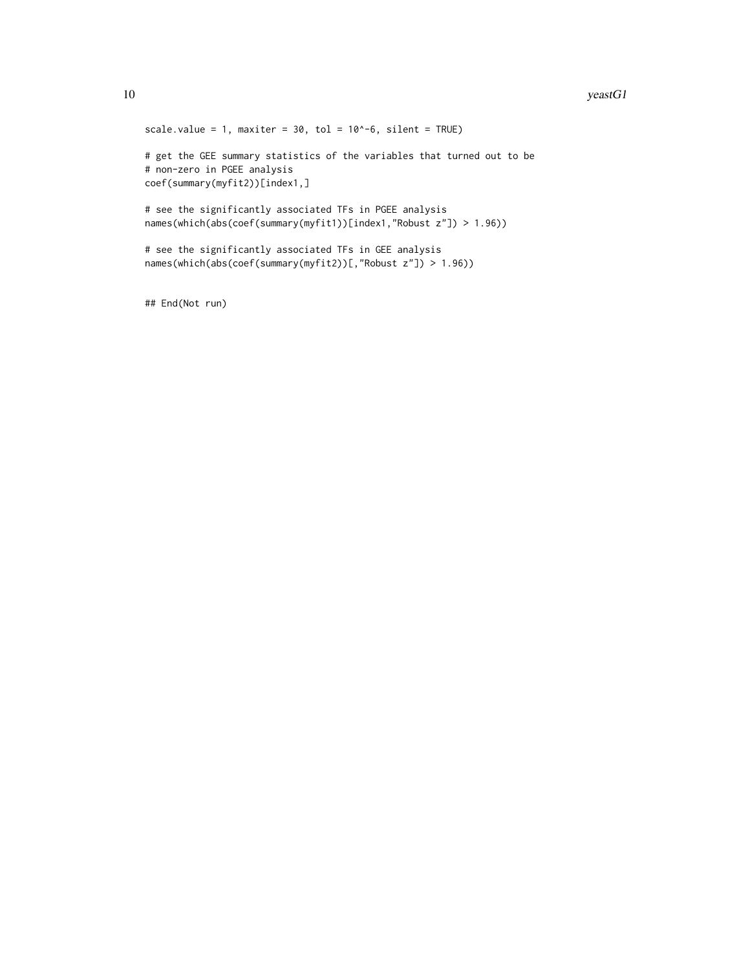```
scale.value = 1, maxiter = 30, tol = 10^{\circ}-6, silent = TRUE)
# get the GEE summary statistics of the variables that turned out to be
# non-zero in PGEE analysis
coef(summary(myfit2))[index1,]
# see the significantly associated TFs in PGEE analysis
names(which(abs(coef(summary(myfit1))[index1,"Robust z"]) > 1.96))
# see the significantly associated TFs in GEE analysis
names(which(abs(coef(summary(myfit2))[,"Robust z"]) > 1.96))
```
## End(Not run)